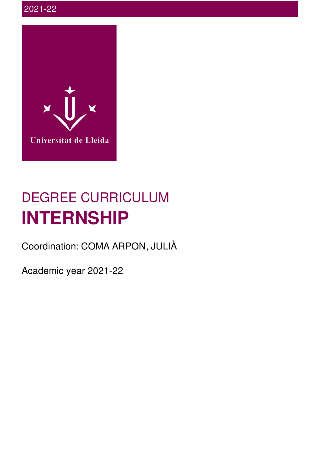

# DEGREE CURRICULUM **INTERNSHIP**

Coordination: COMA ARPON, JULIÀ

Academic year 2021-22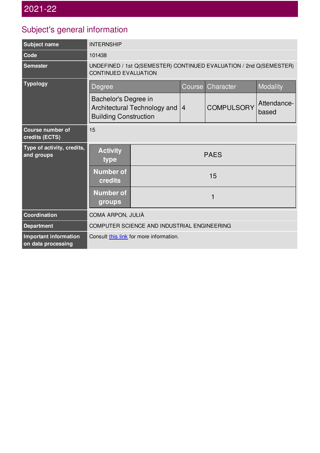# Subject's general information

| <b>Subject name</b>                         | <b>INTERNSHIP</b>                                                                                 |             |                |                   |                      |  |
|---------------------------------------------|---------------------------------------------------------------------------------------------------|-------------|----------------|-------------------|----------------------|--|
| Code                                        | 101438                                                                                            |             |                |                   |                      |  |
| <b>Semester</b>                             | UNDEFINED / 1st Q(SEMESTER) CONTINUED EVALUATION / 2nd Q(SEMESTER)<br><b>CONTINUED EVALUATION</b> |             |                |                   |                      |  |
| <b>Typology</b>                             | Degree                                                                                            |             | <b>Course</b>  | Character         | Modality             |  |
|                                             | Bachelor's Degree in<br>Architectural Technology and<br><b>Building Construction</b>              |             | $\overline{4}$ | <b>COMPULSORY</b> | Attendance-<br>based |  |
| <b>Course number of</b><br>credits (ECTS)   | 15                                                                                                |             |                |                   |                      |  |
| Type of activity, credits,<br>and groups    | <b>Activity</b><br>type                                                                           | <b>PAES</b> |                |                   |                      |  |
|                                             | <b>Number of</b><br>credits                                                                       | 15          |                |                   |                      |  |
|                                             | <b>Number of</b><br>groups                                                                        | 1           |                |                   |                      |  |
| Coordination                                | COMA ARPON, JULIÀ                                                                                 |             |                |                   |                      |  |
| <b>Department</b>                           | COMPUTER SCIENCE AND INDUSTRIAL ENGINEERING                                                       |             |                |                   |                      |  |
| Important information<br>on data processing | Consult this link for more information.                                                           |             |                |                   |                      |  |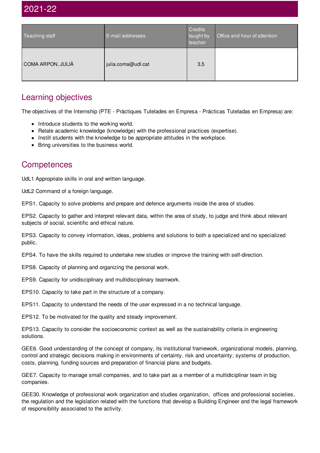## 2021-22

| Teaching staff    | E-mail addresses   | Credits<br>taught by<br>teacher | Office and hour of attention |
|-------------------|--------------------|---------------------------------|------------------------------|
| COMA ARPON, JULIÀ | julia.coma@udl.cat | 3,5                             |                              |

#### Learning objectives

The objectives of the Internship (PTE - Pràctiques Tutelades en Empresa - Prácticas Tuteladas en Empresa) are:

- Introduce students to the working world.
- Relate academic knowledge (knowledge) with the professional practices (expertise).
- Instill students with the knowledge to be appropriate attitudes in the workplace.
- Bring universities to the business world.

#### **Competences**

UdL1 Appropriate skills in oral and written language.

UdL2 Command of a foreign language.

EPS1. Capacity to solve problems and prepare and defence arguments inside the area of studies.

EPS2. Capacity to gather and interpret relevant data, within the area of study, to judge and think about relevant subjects of social, scientific and ethical nature.

EPS3. Capacity to convey information, ideas, problems and solutions to both a specialized and no specialized public.

EPS4. To have the skills required to undertake new studies or improve the training with self-direction.

EPS8. Capacity of planning and organizing the personal work.

EPS9. Capacity for unidisciplinary and multidisciplinary teamwork.

EPS10. Capacity to take part in the structure of a company.

EPS11. Capacity to understand the needs of the user expressed in a no technical language.

EPS12. To be motivated for the quality and steady improvement.

EPS13. Capacity to consider the socioeconomic context as well as the sustainability criteria in engineering solutions.

GEE6. Good understanding of the concept of company, its institutional framework, organizational models, planning, control and strategic decisions making in environments of certainty, risk and uncertainty; systems of production, costs, planning, funding sources and preparation of financial plans and budgets.

GEE7. Capacity to manage small companies, and to take part as a member of a multidiciplinar team in big companies.

GEE30. Knowledge of professional work organization and studies organization, offices and professional societies, the regulation and the legislation related with the functions that develop a Building Engineer and the legal framework of responsibility associated to the activity.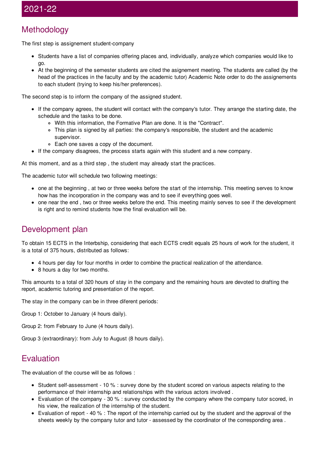## 2021-22

#### Methodology

The first step is assignement student-company

- Students have a list of companies offering places and, individually, analyze which companies would like to go.
- At the beginning of the semester students are cited the asignement meeting. The students are called (by the head of the practices in the faculty and by the academic tutor) Academic Note order to do the assignements to each student (trying to keep his/her preferences).

The second step is to inform the company of the assigned student.

- If the company agrees, the student will contact with the company's tutor. They arrange the starting date, the schedule and the tasks to be done.
	- With this information, the Formative Plan are done. It is the "Contract".
	- This plan is signed by all parties: the company's responsible, the student and the academic supervisor.
	- Each one saves a copy of the document.
- If the company disagrees, the process starts again with this student and a new company.

At this moment, and as a third step , the student may already start the practices.

The academic tutor will schedule two following meetings:

- one at the beginning , at two or three weeks before the start of the internship. This meeting serves to know how has the incorporation in the company was and to see if everything goes well.
- one near the end, two or three weeks before the end. This meeting mainly serves to see if the development is right and to remind students how the final evaluation will be.

#### Development plan

To obtain 15 ECTS in the Interbship, considering that each ECTS credit equals 25 hours of work for the student, it is a total of 375 hours, distributed as follows:

- 4 hours per day for four months in order to combine the practical realization of the attendance.
- 8 hours a day for two months.

This amounts to a total of 320 hours of stay in the company and the remaining hours are devoted to drafting the report, academic tutoring and presentation of the report.

The stay in the company can be in three diferent periods:

Group 1: October to January (4 hours daily).

Group 2: from February to June (4 hours daily).

Group 3 (extraordinary): from July to August (8 hours daily).

#### **Evaluation**

The evaluation of the course will be as follows :

- Student self-assessment 10 % : survey done by the student scored on various aspects relating to the performance of their internship and relationships with the various actors involved .
- Evaluation of the company 30 % : survey conducted by the company where the company tutor scored, in his view, the realization of the internship of the student.
- Evaluation of report 40 % : The report of the internship carried out by the student and the approval of the sheets weekly by the company tutor and tutor - assessed by the coordinator of the corresponding area .